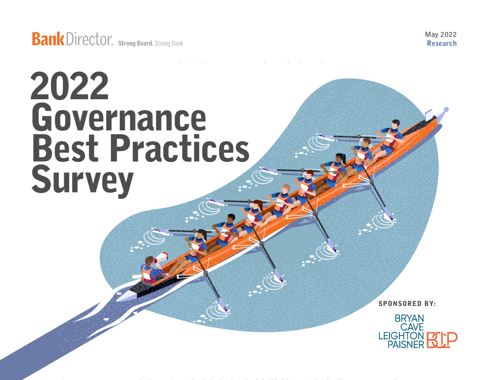May 2022 Research

# 2022 Governance Best Practices **Survey**

SPONSORED BY:

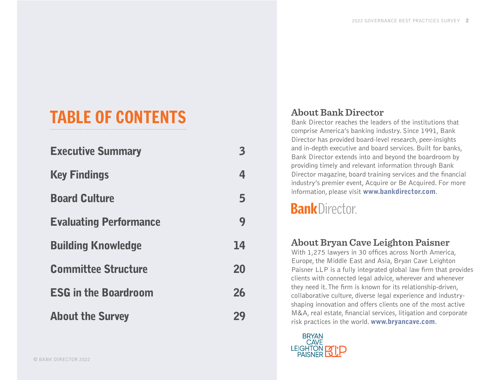## TABLE OF CONTENTS

| <b>Executive Summary</b>      |    |
|-------------------------------|----|
| <b>Key Findings</b>           |    |
| <b>Board Culture</b>          | 5  |
| <b>Evaluating Performance</b> | 9  |
| <b>Building Knowledge</b>     | 14 |
| <b>Committee Structure</b>    | 20 |
| <b>ESG in the Boardroom</b>   |    |
| <b>About the Survey</b>       | 74 |

#### **About Bank Director**

Bank Director reaches the leaders of the institutions that comprise America's banking industry. Since 1991, Bank Director has provided board-level research, peer-insights and in-depth executive and board services. Built for banks, Bank Director extends into and beyond the boardroom by providing timely and relevant information through Bank Director magazine, board training services and the financial industry's premier event, Acquire or Be Acquired. For more information, please visit [www.bankdirector.com](https://www.bankdirector.com).

### **Bank** Director

#### **About Bryan Cave Leighton Paisner**

With 1,275 lawyers in 30 offices across North America, Europe, the Middle East and Asia, Bryan Cave Leighton Paisner LLP is a fully integrated global law firm that provides clients with connected legal advice, wherever and whenever they need it. The firm is known for its relationship-driven, collaborative culture, diverse legal experience and industryshaping innovation and offers clients one of the most active M&A, real estate, financial services, litigation and corporate risk practices in the world. [www.bryancave.com](http://www.bryancave.com).

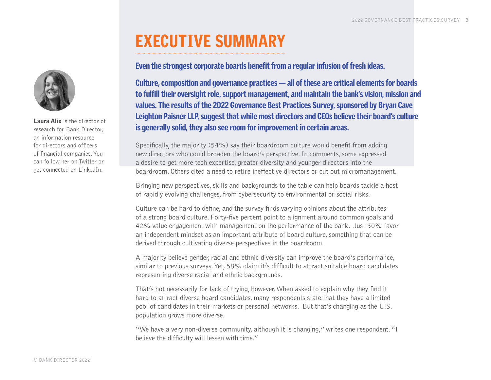### EXECUTIVE SUMMARY

<span id="page-2-0"></span>Laura Alix is the director of research for Bank Director, an information resource for directors and officers of financial companies. You can follow her on [Twitter](https://twitter.com/LauraAlix) or get connected on [LinkedIn](https://www.linkedin.com/in/lauraalix/).

#### Even the strongest corporate boards benefit from a regular infusion of fresh ideas.

Culture, composition and governance practices — all of these are critical elements for boards to fulfill their oversight role, support management, and maintain the bank's vision, mission and values. The results of the 2022 Governance Best Practices Survey, sponsored by Bryan Cave Leighton Paisner LLP, suggest that while most directors and CEOs believe their board's culture is generally solid, they also see room for improvement in certain areas.

Specifically, the majority (54%) say their boardroom culture would benefit from adding new directors who could broaden the board's perspective. In comments, some expressed a desire to get more tech expertise, greater diversity and younger directors into the boardroom. Others cited a need to retire ineffective directors or cut out micromanagement.

Bringing new perspectives, skills and backgrounds to the table can help boards tackle a host of rapidly evolving challenges, from cybersecurity to environmental or social risks.

Culture can be hard to define, and the survey finds varying opinions about the attributes of a strong board culture. Forty-five percent point to alignment around common goals and 42% value engagement with management on the performance of the bank. Just 30% favor an independent mindset as an important attribute of board culture, something that can be derived through cultivating diverse perspectives in the boardroom.

A majority believe gender, racial and ethnic diversity can improve the board's performance, similar to previous surveys. Yet, 58% claim it's difficult to attract suitable board candidates representing diverse racial and ethnic backgrounds.

That's not necessarily for lack of trying, however. When asked to explain why they find it hard to attract diverse board candidates, many respondents state that they have a limited pool of candidates in their markets or personal networks. But that's changing as the U.S. population grows more diverse.

"We have a very non-diverse community, although it is changing," writes one respondent. "I believe the difficulty will lessen with time."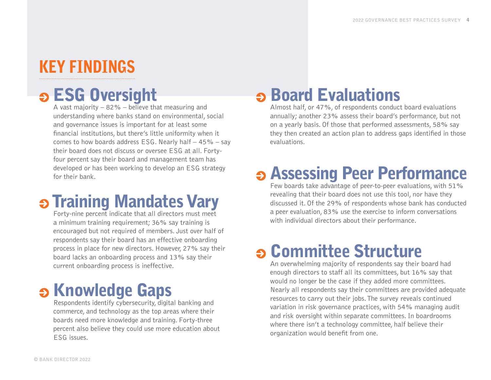### <span id="page-3-0"></span>KEY FINDINGS

## **S** ESG Oversight

A vast majority  $-82\%$  – believe that measuring and understanding where banks stand on environmental, social and governance issues is important for at least some financial institutions, but there's little uniformity when it comes to how boards address ESG. Nearly half  $-45%$  - say their board does not discuss or oversee ESG at all. Fortyfour percent say their board and management team has developed or has been working to develop an ESG strategy for their bank.

## **S Training Mandates Vary**

Forty-nine percent indicate that all directors must meet a minimum training requirement; 36% say training is encouraged but not required of members. Just over half of respondents say their board has an effective onboarding process in place for new directors. However, 27% say their board lacks an onboarding process and 13% say their current onboarding process is ineffective.

## **S** Knowledge Gaps

Respondents identify cybersecurity, digital banking and commerce, and technology as the top areas where their boards need more knowledge and training. Forty-three percent also believe they could use more education about ESG issues.

### **Board Evaluations**

Almost half, or 47%, of respondents conduct board evaluations annually; another 23% assess their board's performance, but not on a yearly basis. Of those that performed assessments, 58% say they then created an action plan to address gaps identified in those evaluations.

### **B Assessing Peer Performance**

Few boards take advantage of peer-to-peer evaluations, with 51% revealing that their board does not use this tool, nor have they discussed it. Of the 29% of respondents whose bank has conducted a peer evaluation, 83% use the exercise to inform conversations with individual directors about their performance.

### Committee Structure

An overwhelming majority of respondents say their board had enough directors to staff all its committees, but 16% say that would no longer be the case if they added more committees. Nearly all respondents say their committees are provided adequate resources to carry out their jobs. The survey reveals continued variation in risk governance practices, with 54% managing audit and risk oversight within separate committees. In boardrooms where there isn't a technology committee, half believe their organization would benefit from one.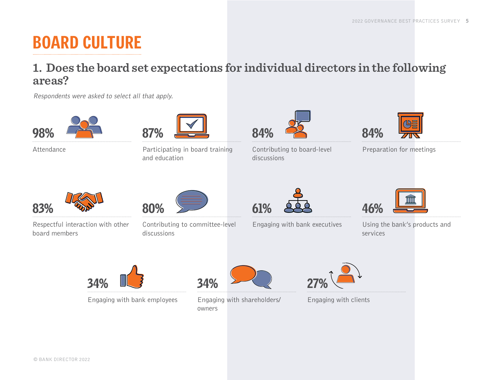### <span id="page-4-0"></span>BOARD CULTURE

#### **1. Does the board set expectations for individual directors in the following areas?**

Respondents were asked to select all that apply.



Attendance



Participating in board training and education



Contributing to board-level discussions



Preparation for meetings



Respectful interaction with other board members



Contributing to committee-level discussions



Engaging with bank executives



Using the bank's products and services



Engaging with bank employees



Engaging with shareholders/ owners



Engaging with clients

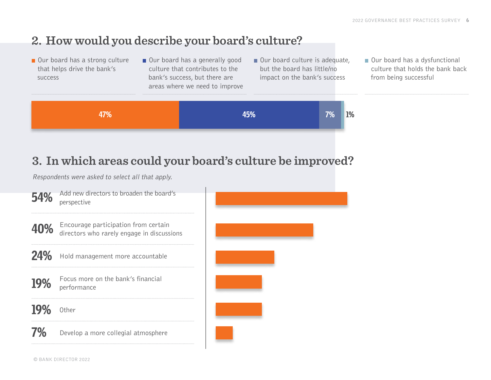#### **2. How would you describe your board's culture?**

- Our board has a strong culture that helps drive the bank's success
- Our board has a generally good culture that contributes to the bank's success, but there are areas where we need to improve
- Our board culture is adequate, but the board has little/no impact on the bank's success
- Our board has a dysfunctional culture that holds the bank back from being successful



### **3. In which areas could your board's culture be improved?**

Respondents were asked to select all that apply.

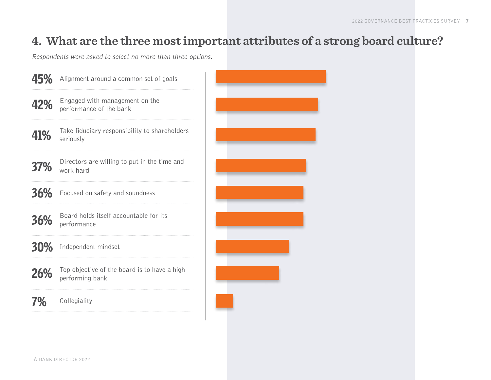#### **4. What are the three most important attributes of a strong board culture?**

Respondents were asked to select no more than three options.

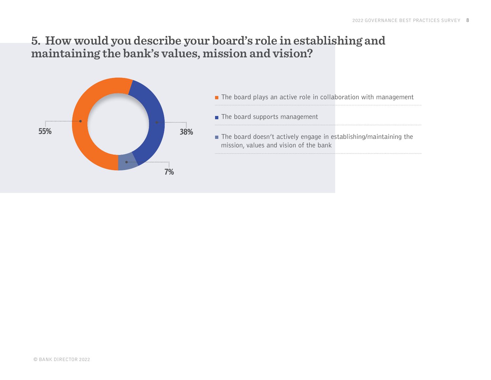#### **5. How would you describe your board's role in establishing and maintaining the bank's values, mission and vision?**

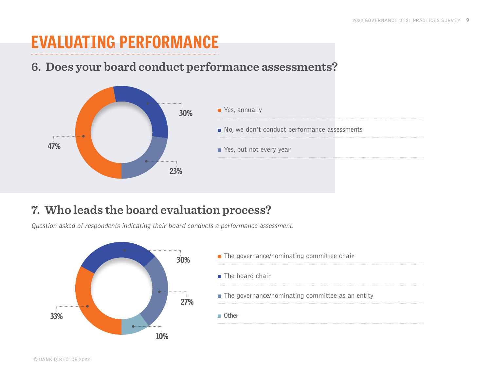### <span id="page-8-0"></span>EVALUATING PERFORMANCE

#### **6. Does your board conduct performance assessments?**



#### **7. Who leads the board evaluation process?**

Question asked of respondents indicating their board conducts a performance assessment.

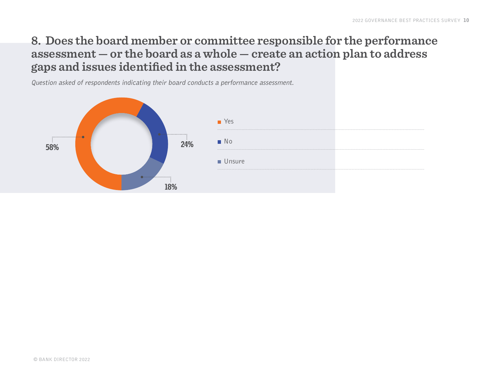#### **8. Does the board member or committee responsible for the performance assessment — or the board as a whole — create an action plan to address gaps and issues identified in the assessment?**

Question asked of respondents indicating their board conducts a performance assessment.

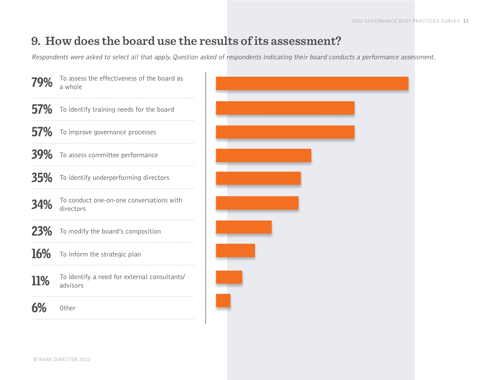#### **9. How does the board use the results of its assessment?**

Respondents were asked to select all that apply. Question asked of respondents indicating their board conducts a performance assessment.

| 79%        | To assess the effectiveness of the board as<br>a whole   |
|------------|----------------------------------------------------------|
| <b>57%</b> | To identify training needs for the board                 |
| <b>57%</b> | To improve governance processes                          |
| <b>39%</b> | To assess committee performance                          |
| <b>35%</b> | To identify underperforming directors                    |
| 34%        | To conduct one-on-one conversations with<br>directors    |
| <b>23%</b> | To modify the board's composition                        |
| <b>16%</b> | To inform the strategic plan                             |
| <b>11%</b> | To identify a need for external consultants/<br>advisors |
| 6%         | Other                                                    |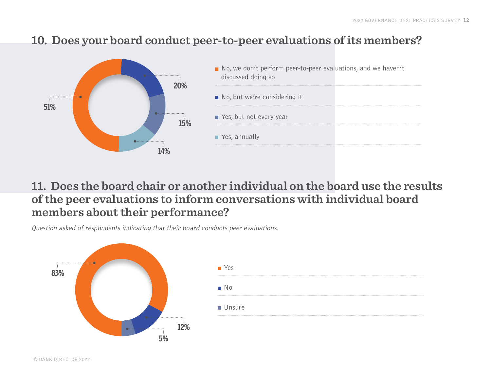#### **10. Does your board conduct peer-to-peer evaluations of its members?**



#### **11. Does the board chair or another individual on the board use the results of the peer evaluations to inform conversations with individual board members about their performance?**

Question asked of respondents indicating that their board conducts peer evaluations.

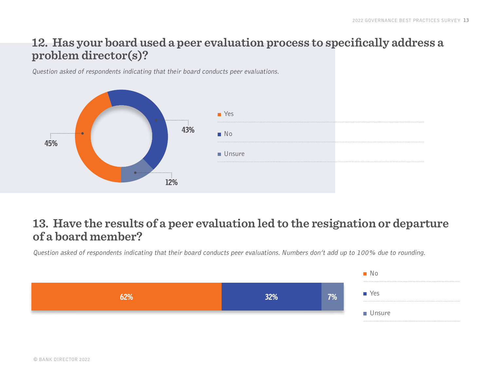#### **12. Has your board used a peer evaluation process to specifically address a problem director(s)?**

Question asked of respondents indicating that their board conducts peer evaluations.



#### **13. Have the results of a peer evaluation led to the resignation or departure of a board member?**

Question asked of respondents indicating that their board conducts peer evaluations. Numbers don't add up to 100% due to rounding.

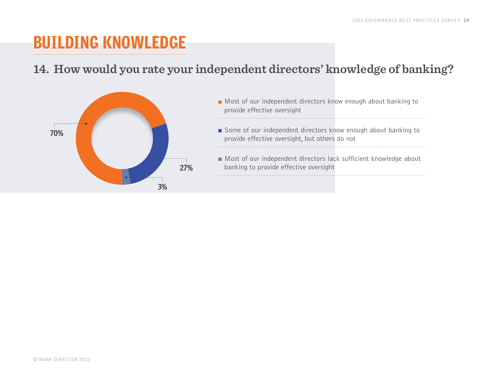### <span id="page-13-0"></span>BUILDING KNOWLEDGE

#### **14. How would you rate your independent directors' knowledge of banking?**



- Most of our independent directors know enough about banking to provide effective oversight
- Some of our independent directors know enough about banking to provide effective oversight, but others do not
- Most of our independent directors lack sufficient knowledge about banking to provide effective oversight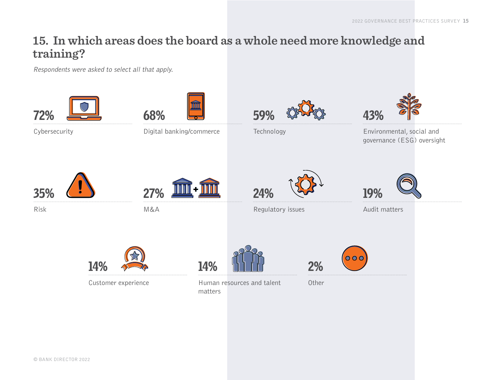#### **15. In which areas does the board as a whole need more knowledge and training?**

Respondents were asked to select all that apply.

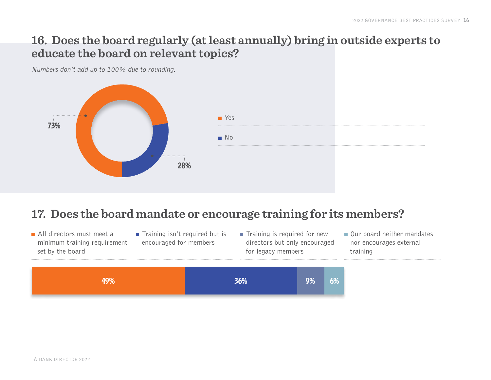#### **16. Does the board regularly (at least annually) bring in outside experts to educate the board on relevant topics?**

Numbers don't add up to 100% due to rounding.



#### **17. Does the board mandate or encourage training for its members?**

All directors must meet a minimum training requirement set by the board

 $\blacksquare$  Training isn't required but is encouraged for members

 $\blacksquare$  Training is required for new directors but only encouraged for legacy members

Our board neither mandates nor encourages external training

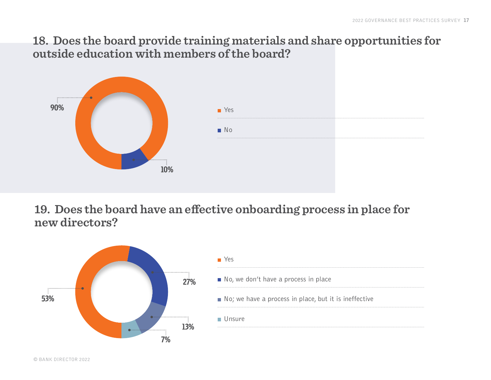#### **18. Does the board provide training materials and share opportunities for outside education with members of the board?**



**19. Does the board have an effective onboarding process in place for new directors?**

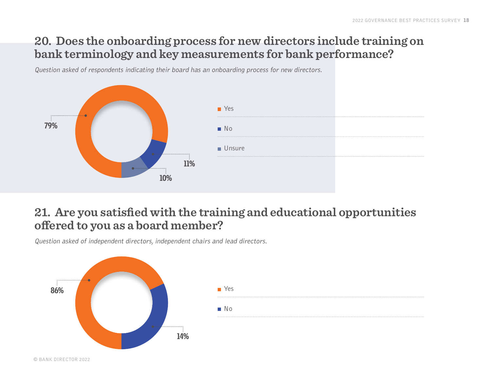#### **20. Does the onboarding process for new directors include training on bank terminology and key measurements for bank performance?**

Question asked of respondents indicating their board has an onboarding process for new directors.



#### **21. Are you satisfied with the training and educational opportunities offered to you as a board member?**

Question asked of independent directors, independent chairs and lead directors.

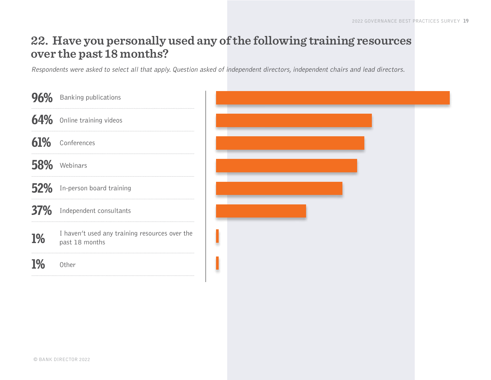#### **22. Have you personally used any of the following training resources over the past 18 months?**

Respondents were asked to select all that apply. Question asked of independent directors, independent chairs and lead directors.

| 96%        | <b>Banking publications</b>                                      |
|------------|------------------------------------------------------------------|
| 64%        | Online training videos                                           |
| 61%        | Conferences                                                      |
| 58%        | Webinars                                                         |
| <b>52%</b> | In-person board training                                         |
| 37%        | Independent consultants                                          |
| <b>1%</b>  | I haven't used any training resources over the<br>past 18 months |
| <b>1%</b>  | Other                                                            |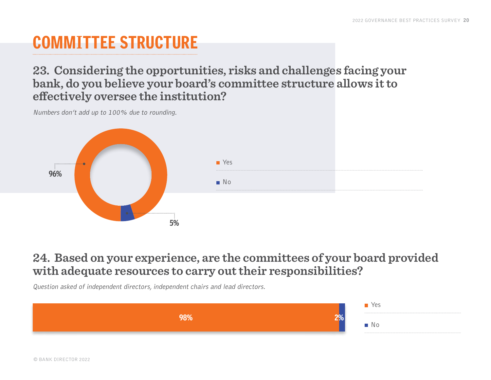## <span id="page-19-0"></span>COMMITTEE STRUCTURE

**23. Considering the opportunities, risks and challenges facing your bank, do you believe your board's committee structure allows it to effectively oversee the institution?**



Numbers don't add up to 100% due to rounding.

#### **24. Based on your experience, are the committees of your board provided with adequate resources to carry out their responsibilities?**

Question asked of independent directors, independent chairs and lead directors.

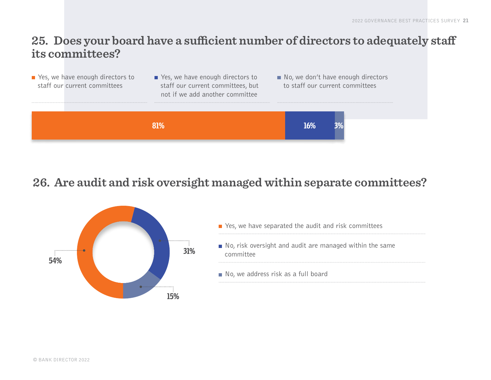#### **25. Does your board have a sufficient number of directors to adequately staff its committees?**

| $\blacksquare$ Yes, we have enough directors to<br>staff our current committees | $\blacksquare$ Yes, we have enough directors to<br>staff our current committees, but<br>not if we add another committee |     | No, we don't have enough directors<br>to staff our current committees |
|---------------------------------------------------------------------------------|-------------------------------------------------------------------------------------------------------------------------|-----|-----------------------------------------------------------------------|
|                                                                                 | राण्ट                                                                                                                   | 16% |                                                                       |

#### **26. Are audit and risk oversight managed within separate committees?**



| $\blacksquare$ Yes, we have separated the audit and risk committees                  |
|--------------------------------------------------------------------------------------|
| $\blacksquare$ No, risk oversight and audit are managed within the same<br>committee |
| No, we address risk as a full board                                                  |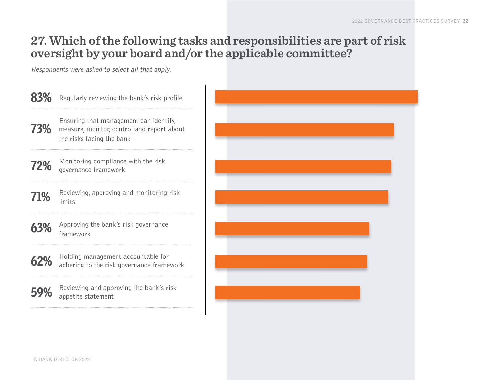#### **27. Which of the following tasks and responsibilities are part of risk oversight by your board and/or the applicable committee?**

Respondents were asked to select all that apply.

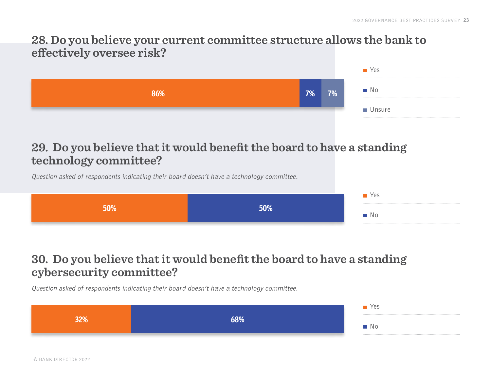#### **28. Do you believe your current committee structure allows the bank to effectively oversee risk?**



#### **29. Do you believe that it would benefit the board to have a standing technology committee?**

Question asked of respondents indicating their board doesn't have a technology committee.

|  | INO. |
|--|------|

#### **30. Do you believe that it would benefit the board to have a standing cybersecurity committee?**

Question asked of respondents indicating their board doesn't have a technology committee.

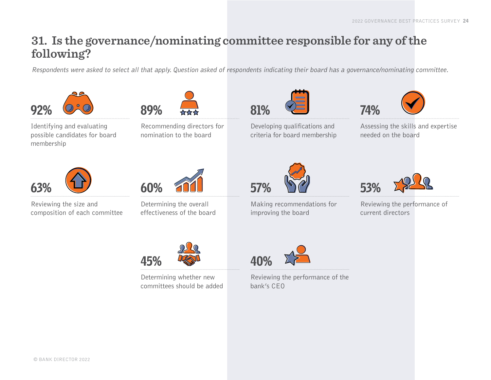#### **31. Is the governance/nominating committee responsible for any of the following?**

Respondents were asked to select all that apply. Question asked of respondents indicating their board has a governance/nominating committee.



Identifying and evaluating possible candidates for board membership





Recommending directors for nomination to the board



Developing qualifications and criteria for board membership



Assessing the skills and expertise needed on the board



Reviewing the size and composition of each committee



Determining the overall effectiveness of the board



Determining whether new committees should be added 57%

Making recommendations for improving the board



Reviewing the performance of current directors



Reviewing the performance of the bank's CEO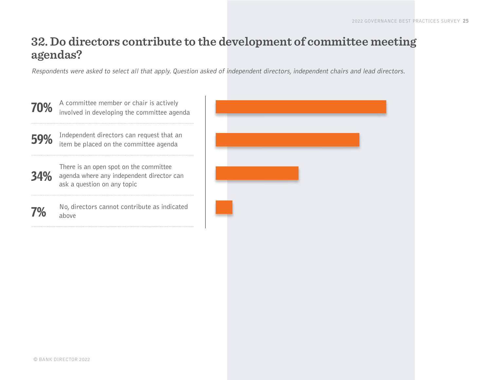#### **32. Do directors contribute to the development of committee meeting agendas?**

Respondents were asked to select all that apply. Question asked of independent directors, independent chairs and lead directors.

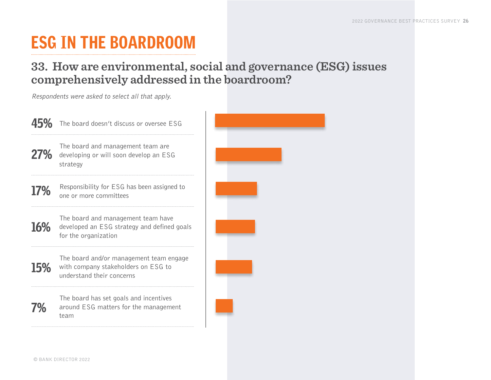## <span id="page-25-0"></span>ESG IN THE BOARDROOM

#### **33. How are environmental, social and governance (ESG) issues comprehensively addressed in the boardroom?**

Respondents were asked to select all that apply.

The board doesn't discuss or oversee ESG 45%

The board and management team are 27% developing or will soon develop an ESG strategy

Responsibility for ESG has been assigned to one or more committees 17%

The board and management team have developed an ESG strategy and defined goals for the organization 16%

> The board and/or management team engage with company stakeholders on ESG to understand their concerns

The board has set goals and incentives around ESG matters for the management team



15%

7%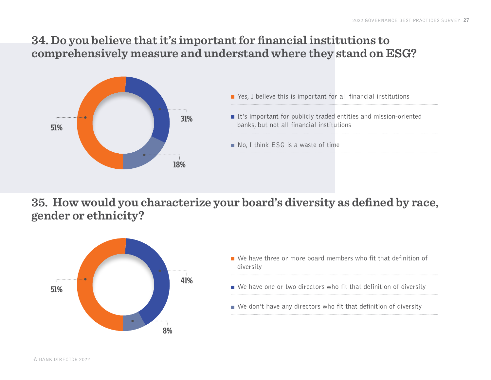#### **34. Do you believe that it's important for financial institutions to comprehensively measure and understand where they stand on ESG?**



- Yes, I believe this is important for all financial institutions
- It's important for publicly traded entities and mission-oriented banks, but not all financial institutions
- No, I think ESG is a waste of time

**35. How would you characterize your board's diversity as defined by race, gender or ethnicity?**



- We have three or more board members who fit that definition of diversity
- We have one or two directors who fit that definition of diversity
- $\blacksquare$  We don't have any directors who fit that definition of diversity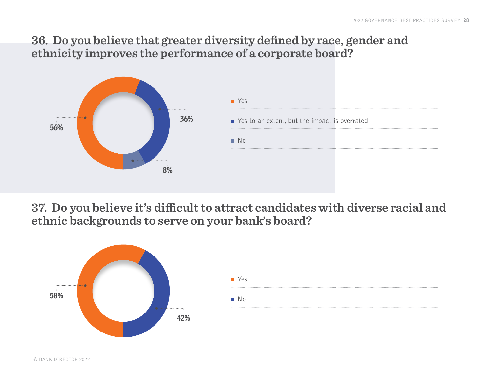#### **36. Do you believe that greater diversity defined by race, gender and ethnicity improves the performance of a corporate board?**



**37. Do you believe it's difficult to attract candidates with diverse racial and ethnic backgrounds to serve on your bank's board?**

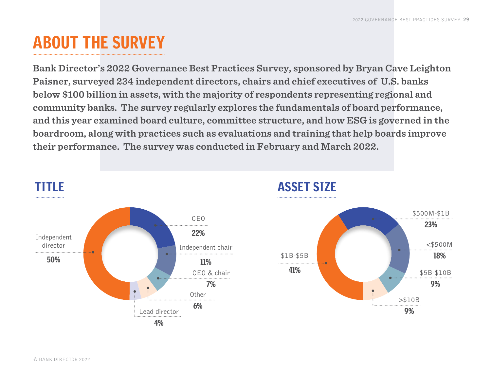### <span id="page-28-0"></span>ABOUT THE SURVEY

**Bank Director's 2022 Governance Best Practices Survey, sponsored by Bryan Cave Leighton Paisner, surveyed 234 independent directors, chairs and chief executives of U.S. banks below \$100 billion in assets, with the majority of respondents representing regional and community banks. The survey regularly explores the fundamentals of board performance, and this year examined board culture, committee structure, and how ESG is governed in the boardroom, along with practices such as evaluations and training that help boards improve their performance. The survey was conducted in February and March 2022.** 



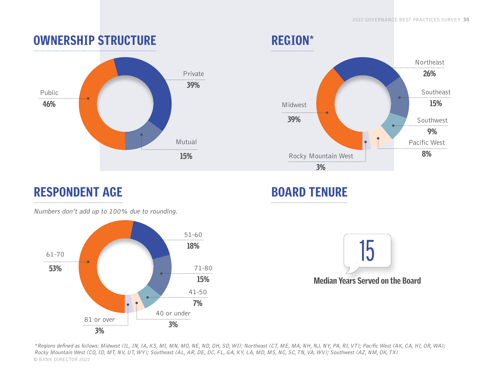

#### REGION\* Northeast 26% Southeast 15% Midwest  $\cdot\bullet$ 39% Southwest 9% Pacific West 8% Rocky Mountain West

### RESPONDENT AGE

Numbers don't add up to 100% due to rounding.



### BOARD TENURE

3%



© BANK DIRECTOR 2022 \*Regions defined as follows: Midwest (IL, IN, IA, KS, MI, MN, MO, NE, ND, OH, SD, WI); Northeast (CT, ME, MA, NH, NJ, NY, PA, RI, VT); Pacific West (AK, CA, HI, OR, WA); Rocky Mountain West (CO, ID, MT, NV, UT, WY); Southeast (AL, AR, DE, DC, FL, GA, KY, LA, MD, MS, NC, SC, TN, VA, WV); Southwest (AZ, NM, OK, TX)